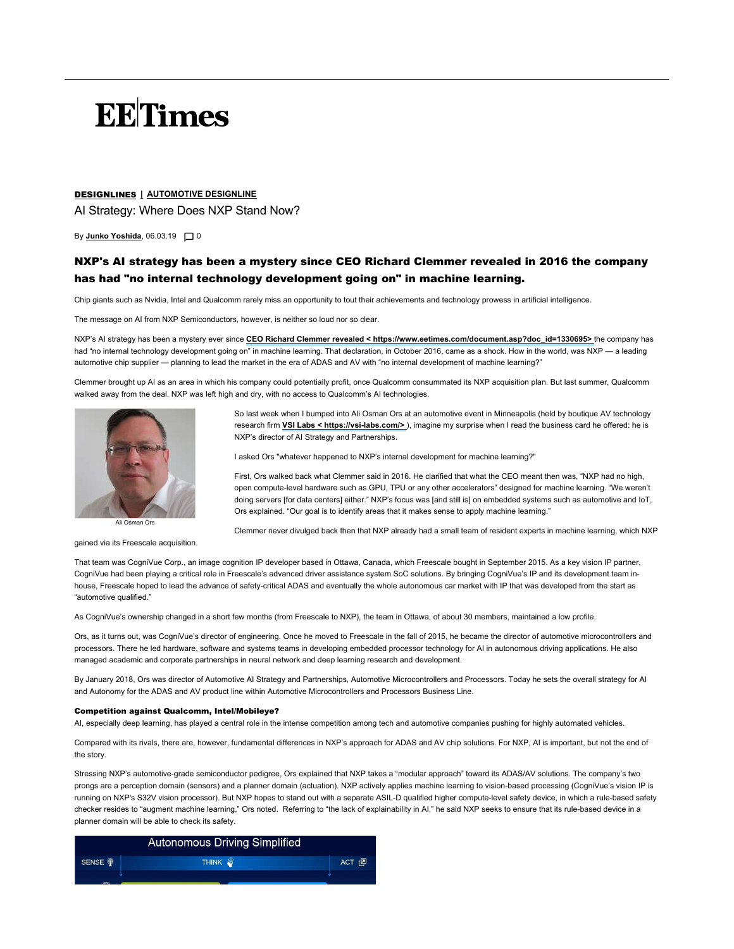# **EE**Times

## DESIGNLINES | AUTOMOTIVE DESIGNLINE

AI Strategy: Where Does NXP Stand Now?

By <u>Junko Yoshida</u>, 06.03.19 囗 0

## NXP's AI strategy has been a mystery since CEO Richard Clemmer revealed in 2016 the company has had "no internal technology development going on" in machine learning.

Chip giants such as Nvidia, Intel and Qualcomm rarely miss an opportunity to tout their achievements and technology prowess in artificial intelligence.

The message on AI from NXP Semiconductors, however, is neither so loud nor so clear.

NXP's AI strategy has been a mystery ever since CEO Richard Clemmer revealed < https://www.eetimes.com/document.asp?doc\_id=1330695> the company has had "no internal technology development going on" in machine learning. That declaration, in October 2016, came as a shock. How in the world, was NXP — a leading automotive chip supplier — planning to lead the market in the era of ADAS and AV with "no internal development of machine learning?"

Clemmer brought up AI as an area in which his company could potentially profit, once Qualcomm consummated its NXP acquisition plan. But last summer, Qualcomm walked away from the deal. NXP was left high and dry, with no access to Qualcomm's AI technologies.



Ali Osman Ors

gained via its Freescale acquisition.

So last week when I bumped into Ali Osman Ors at an automotive event in Minneapolis (held by boutique AV technology research firm **VSI Labs < https://vsi-labs.com/>**), imagine my surprise when I read the business card he offered: he is NXP's director of AI Strategy and Partnerships.

I asked Ors "whatever happened to NXP's internal development for machine learning?"

First, Ors walked back what Clemmer said in 2016. He clarified that what the CEO meant then was, "NXP had no high, open compute-level hardware such as GPU, TPU or any other accelerators" designed for machine learning. "We weren't doing servers [for data centers] either." NXP's focus was [and still is] on embedded systems such as automotive and IoT, Ors explained. "Our goal is to identify areas that it makes sense to apply machine learning."

Clemmer never divulged back then that NXP already had a small team of resident experts in machine learning, which NXP

That team was CogniVue Corp., an image cognition IP developer based in Ottawa, Canada, which Freescale bought in September 2015. As a key vision IP partner, CogniVue had been playing a critical role in Freescale's advanced driver assistance system SoC solutions. By bringing CogniVue's IP and its development team inhouse, Freescale hoped to lead the advance of safety-critical ADAS and eventually the whole autonomous car market with IP that was developed from the start as "automotive qualified."

As CogniVue's ownership changed in a short few months (from Freescale to NXP), the team in Ottawa, of about 30 members, maintained a low profile.

Ors, as it turns out, was CogniVue's director of engineering. Once he moved to Freescale in the fall of 2015, he became the director of automotive microcontrollers and processors. There he led hardware, software and systems teams in developing embedded processor technology for AI in autonomous driving applications. He also managed academic and corporate partnerships in neural network and deep learning research and development.

By January 2018, Ors was director of Automotive AI Strategy and Partnerships, Automotive Microcontrollers and Processors. Today he sets the overall strategy for AI and Autonomy for the ADAS and AV product line within Automotive Microcontrollers and Processors Business Line.

#### Competition against Qualcomm, Intel/Mobileye?

AI, especially deep learning, has played a central role in the intense competition among tech and automotive companies pushing for highly automated vehicles.

Compared with its rivals, there are, however, fundamental differences in NXP's approach for ADAS and AV chip solutions. For NXP, AI is important, but not the end of the story.

Stressing NXP's automotive-grade semiconductor pedigree, Ors explained that NXP takes a "modular approach" toward its ADAS/AV solutions. The company's two prongs are a perception domain (sensors) and a planner domain (actuation). NXP actively applies machine learning to vision-based processing (CogniVue's vision IP is running on NXP's S32V vision processor). But NXP hopes to stand out with a separate ASIL-D qualified higher compute-level safety device, in which a rule-based safety checker resides to "augment machine learning," Ors noted. Referring to "the lack of explainability in AI," he said NXP seeks to ensure that its rule-based device in a planner domain will be able to check its safety.

| <b>Autonomous Driving Simplified</b> |                    |         |
|--------------------------------------|--------------------|---------|
| SENSE <sup></sup>                    | THINK <sup>3</sup> | ACT [2] |
|                                      |                    |         |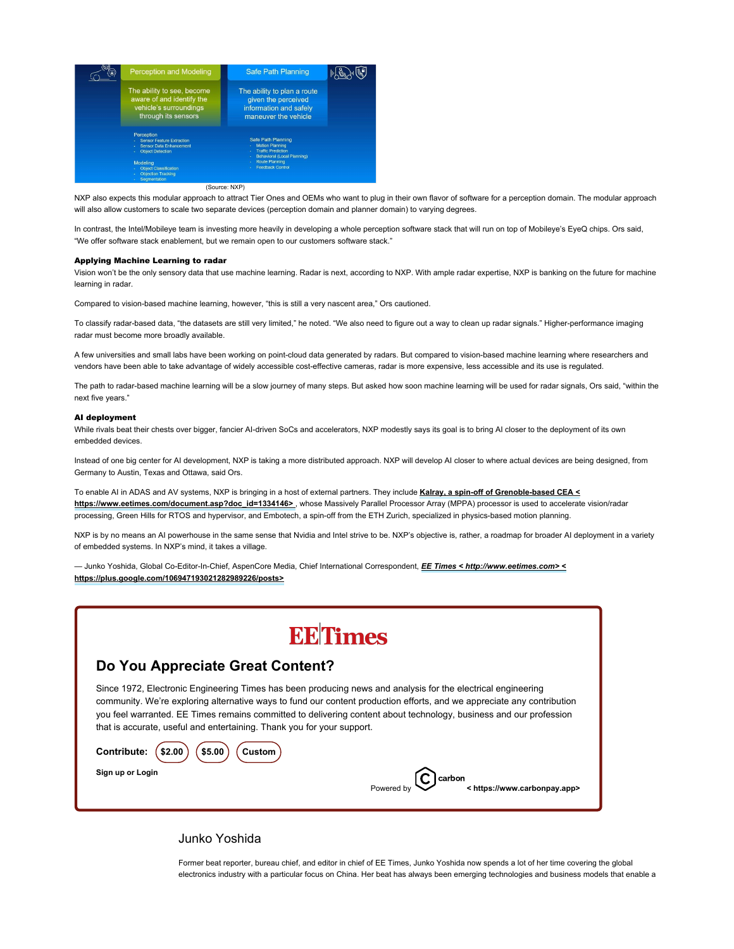

#### (Source: NXP)

NXP also expects this modular approach to attract Tier Ones and OEMs who want to plug in their own flavor of software for a perception domain. The modular approach will also allow customers to scale two separate devices (perception domain and planner domain) to varying degrees.

In contrast, the Intel/Mobileye team is investing more heavily in developing a whole perception software stack that will run on top of Mobileye's EyeQ chips. Ors said, "We offer software stack enablement, but we remain open to our customers software stack."

#### Applying Machine Learning to radar

Vision won't be the only sensory data that use machine learning. Radar is next, according to NXP. With ample radar expertise, NXP is banking on the future for machine learning in radar.

Compared to vision-based machine learning, however, "this is still a very nascent area," Ors cautioned.

To classify radar-based data, "the datasets are still very limited," he noted. "We also need to figure out a way to clean up radar signals." Higher-performance imaging radar must become more broadly available.

A few universities and small labs have been working on point-cloud data generated by radars. But compared to vision-based machine learning where researchers and vendors have been able to take advantage of widely accessible cost-effective cameras, radar is more expensive, less accessible and its use is regulated.

The path to radar-based machine learning will be a slow journey of many steps. But asked how soon machine learning will be used for radar signals, Ors said, "within the next five years."

### AI deployment

While rivals beat their chests over bigger, fancier AI-driven SoCs and accelerators, NXP modestly says its goal is to bring AI closer to the deployment of its own embedded devices.

Instead of one big center for AI development, NXP is taking a more distributed approach. NXP will develop AI closer to where actual devices are being designed, from Germany to Austin, Texas and Ottawa, said Ors.

To enable AI in ADAS and AV systems, NXP is bringing in a host of external partners. They include Kalray, a spin-off of Grenoble-based CEA < https://www.eetimes.com/document.asp?doc\_id=1334146>, whose Massively Parallel Processor Array (MPPA) processor is used to accelerate vision/radar processing, Green Hills for RTOS and hypervisor, and Embotech, a spin-off from the ETH Zurich, specialized in physics-based motion planning.

NXP is by no means an AI powerhouse in the same sense that Nvidia and Intel strive to be. NXP's objective is, rather, a roadmap for broader AI deployment in a variety of embedded systems. In NXP's mind, it takes a village.

— Junko Yoshida, Global Co-Editor-In-Chief, AspenCore Media, Chief International Correspondent, *EE Times < http://www.eetimes.com> <* https://plus.google.com/106947193021282989226/posts>



## Do You Appreciate Great Content?

Since 1972, Electronic Engineering Times has been producing news and analysis for the electrical engineering community. We're exploring alternative ways to fund our content production efforts, and we appreciate any contribution you feel warranted. EE Times remains committed to delivering content about technology, business and our profession that is accurate, useful and entertaining. Thank you for your support.



## Junko Yoshida

Former beat reporter, bureau chief, and editor in chief of EE Times, Junko Yoshida now spends a lot of her time covering the global electronics industry with a particular focus on China. Her beat has always been emerging technologies and business models that enable a